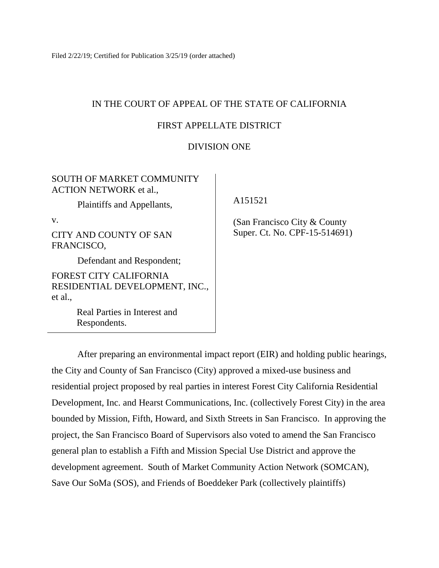Filed 2/22/19; Certified for Publication 3/25/19 (order attached)

## IN THE COURT OF APPEAL OF THE STATE OF CALIFORNIA

## FIRST APPELLATE DISTRICT

## DIVISION ONE

## SOUTH OF MARKET COMMUNITY ACTION NETWORK et al.,

Plaintiffs and Appellants,

v.

CITY AND COUNTY OF SAN FRANCISCO,

Defendant and Respondent;

FOREST CITY CALIFORNIA RESIDENTIAL DEVELOPMENT, INC., et al.,

> Real Parties in Interest and Respondents.

A151521

 (San Francisco City & County Super. Ct. No. CPF-15-514691)

After preparing an environmental impact report (EIR) and holding public hearings, the City and County of San Francisco (City) approved a mixed-use business and residential project proposed by real parties in interest Forest City California Residential Development, Inc. and Hearst Communications, Inc. (collectively Forest City) in the area bounded by Mission, Fifth, Howard, and Sixth Streets in San Francisco. In approving the project, the San Francisco Board of Supervisors also voted to amend the San Francisco general plan to establish a Fifth and Mission Special Use District and approve the development agreement. South of Market Community Action Network (SOMCAN), Save Our SoMa (SOS), and Friends of Boeddeker Park (collectively plaintiffs)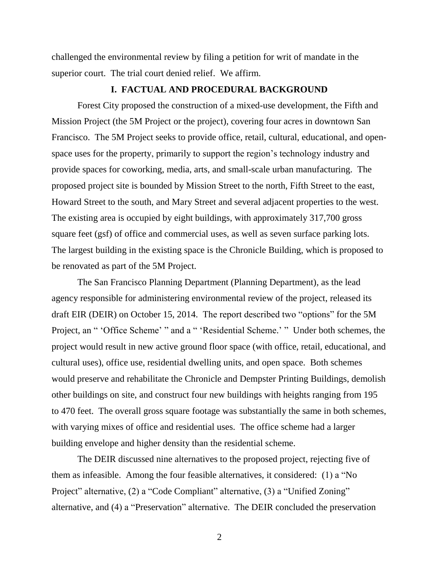challenged the environmental review by filing a petition for writ of mandate in the superior court. The trial court denied relief. We affirm.

#### **I. FACTUAL AND PROCEDURAL BACKGROUND**

Forest City proposed the construction of a mixed-use development, the Fifth and Mission Project (the 5M Project or the project), covering four acres in downtown San Francisco. The 5M Project seeks to provide office, retail, cultural, educational, and openspace uses for the property, primarily to support the region's technology industry and provide spaces for coworking, media, arts, and small-scale urban manufacturing. The proposed project site is bounded by Mission Street to the north, Fifth Street to the east, Howard Street to the south, and Mary Street and several adjacent properties to the west. The existing area is occupied by eight buildings, with approximately 317,700 gross square feet (gsf) of office and commercial uses, as well as seven surface parking lots. The largest building in the existing space is the Chronicle Building, which is proposed to be renovated as part of the 5M Project.

The San Francisco Planning Department (Planning Department), as the lead agency responsible for administering environmental review of the project, released its draft EIR (DEIR) on October 15, 2014. The report described two "options" for the 5M Project, an " 'Office Scheme' " and a " 'Residential Scheme.' " Under both schemes, the project would result in new active ground floor space (with office, retail, educational, and cultural uses), office use, residential dwelling units, and open space. Both schemes would preserve and rehabilitate the Chronicle and Dempster Printing Buildings, demolish other buildings on site, and construct four new buildings with heights ranging from 195 to 470 feet. The overall gross square footage was substantially the same in both schemes, with varying mixes of office and residential uses. The office scheme had a larger building envelope and higher density than the residential scheme.

The DEIR discussed nine alternatives to the proposed project, rejecting five of them as infeasible. Among the four feasible alternatives, it considered: (1) a "No Project" alternative, (2) a "Code Compliant" alternative, (3) a "Unified Zoning" alternative, and (4) a "Preservation" alternative. The DEIR concluded the preservation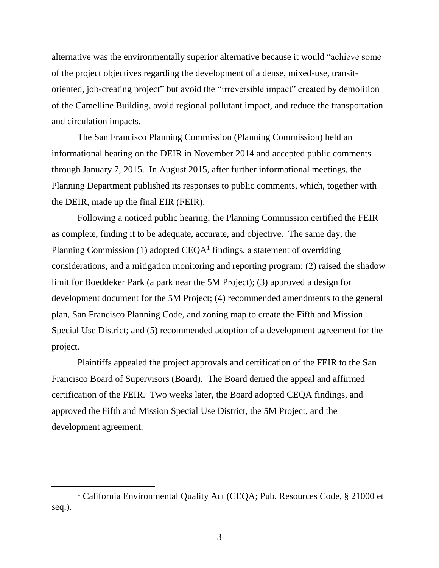alternative was the environmentally superior alternative because it would "achieve some of the project objectives regarding the development of a dense, mixed-use, transitoriented, job-creating project" but avoid the "irreversible impact" created by demolition of the Camelline Building, avoid regional pollutant impact, and reduce the transportation and circulation impacts.

The San Francisco Planning Commission (Planning Commission) held an informational hearing on the DEIR in November 2014 and accepted public comments through January 7, 2015. In August 2015, after further informational meetings, the Planning Department published its responses to public comments, which, together with the DEIR, made up the final EIR (FEIR).

Following a noticed public hearing, the Planning Commission certified the FEIR as complete, finding it to be adequate, accurate, and objective. The same day, the Planning Commission (1) adopted  $CEQA<sup>1</sup>$  findings, a statement of overriding considerations, and a mitigation monitoring and reporting program; (2) raised the shadow limit for Boeddeker Park (a park near the 5M Project); (3) approved a design for development document for the 5M Project; (4) recommended amendments to the general plan, San Francisco Planning Code, and zoning map to create the Fifth and Mission Special Use District; and (5) recommended adoption of a development agreement for the project.

Plaintiffs appealed the project approvals and certification of the FEIR to the San Francisco Board of Supervisors (Board). The Board denied the appeal and affirmed certification of the FEIR. Two weeks later, the Board adopted CEQA findings, and approved the Fifth and Mission Special Use District, the 5M Project, and the development agreement.

 $\overline{a}$ 

<sup>&</sup>lt;sup>1</sup> California Environmental Quality Act (CEQA; Pub. Resources Code, § 21000 et seq.).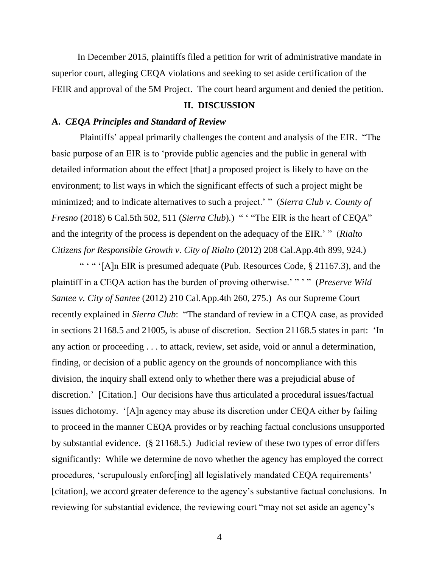In December 2015, plaintiffs filed a petition for writ of administrative mandate in superior court, alleging CEQA violations and seeking to set aside certification of the FEIR and approval of the 5M Project. The court heard argument and denied the petition.

## **II. DISCUSSION**

## **A.** *CEQA Principles and Standard of Review*

Plaintiffs' appeal primarily challenges the content and analysis of the EIR. "The basic purpose of an EIR is to 'provide public agencies and the public in general with detailed information about the effect [that] a proposed project is likely to have on the environment; to list ways in which the significant effects of such a project might be minimized; and to indicate alternatives to such a project.' " (*Sierra Club v. County of Fresno* (2018) 6 Cal.5th 502, 511 (*Sierra Club*).) " "The EIR is the heart of CEQA" and the integrity of the process is dependent on the adequacy of the EIR.' " (*Rialto Citizens for Responsible Growth v. City of Rialto* (2012) 208 Cal.App.4th 899, 924.)

" "" '[A]n EIR is presumed adequate (Pub. Resources Code, § 21167.3), and the plaintiff in a CEQA action has the burden of proving otherwise.' " ' " (*Preserve Wild Santee v. City of Santee* (2012) 210 Cal.App.4th 260, 275.) As our Supreme Court recently explained in *Sierra Club*: "The standard of review in a CEQA case, as provided in sections 21168.5 and 21005, is abuse of discretion. Section 21168.5 states in part: 'In any action or proceeding . . . to attack, review, set aside, void or annul a determination, finding, or decision of a public agency on the grounds of noncompliance with this division, the inquiry shall extend only to whether there was a prejudicial abuse of discretion.' [Citation.] Our decisions have thus articulated a procedural issues/factual issues dichotomy. '[A]n agency may abuse its discretion under CEQA either by failing to proceed in the manner CEQA provides or by reaching factual conclusions unsupported by substantial evidence. (§ 21168.5.) Judicial review of these two types of error differs significantly: While we determine de novo whether the agency has employed the correct procedures, 'scrupulously enforc[ing] all legislatively mandated CEQA requirements' [citation], we accord greater deference to the agency's substantive factual conclusions. In reviewing for substantial evidence, the reviewing court "may not set aside an agency's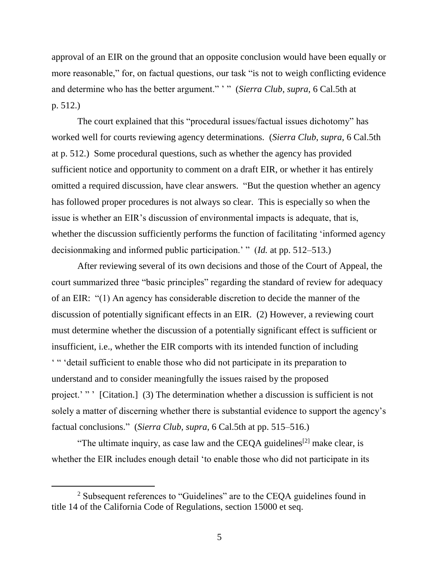approval of an EIR on the ground that an opposite conclusion would have been equally or more reasonable," for, on factual questions, our task "is not to weigh conflicting evidence and determine who has the better argument." ' " (*Sierra Club*, *supra*, 6 Cal.5th at p. 512.)

The court explained that this "procedural issues/factual issues dichotomy" has worked well for courts reviewing agency determinations. (*Sierra Club*, *supra*, 6 Cal.5th at p. 512.) Some procedural questions, such as whether the agency has provided sufficient notice and opportunity to comment on a draft EIR, or whether it has entirely omitted a required discussion, have clear answers. "But the question whether an agency has followed proper procedures is not always so clear. This is especially so when the issue is whether an EIR's discussion of environmental impacts is adequate, that is, whether the discussion sufficiently performs the function of facilitating 'informed agency decisionmaking and informed public participation.' " (*Id.* at pp. 512–513.)

After reviewing several of its own decisions and those of the Court of Appeal, the court summarized three "basic principles" regarding the standard of review for adequacy of an EIR: "(1) An agency has considerable discretion to decide the manner of the discussion of potentially significant effects in an EIR. (2) However, a reviewing court must determine whether the discussion of a potentially significant effect is sufficient or insufficient, i.e., whether the EIR comports with its intended function of including ' " 'detail sufficient to enable those who did not participate in its preparation to understand and to consider meaningfully the issues raised by the proposed project.' " ' [Citation.] (3) The determination whether a discussion is sufficient is not solely a matter of discerning whether there is substantial evidence to support the agency's factual conclusions." (*Sierra Club*, *supra*, 6 Cal.5th at pp. 515–516.)

"The ultimate inquiry, as case law and the CEQA guidelines<sup>[2]</sup> make clear, is whether the EIR includes enough detail 'to enable those who did not participate in its

 $\overline{a}$ 

<sup>&</sup>lt;sup>2</sup> Subsequent references to "Guidelines" are to the CEQA guidelines found in title 14 of the California Code of Regulations, section 15000 et seq.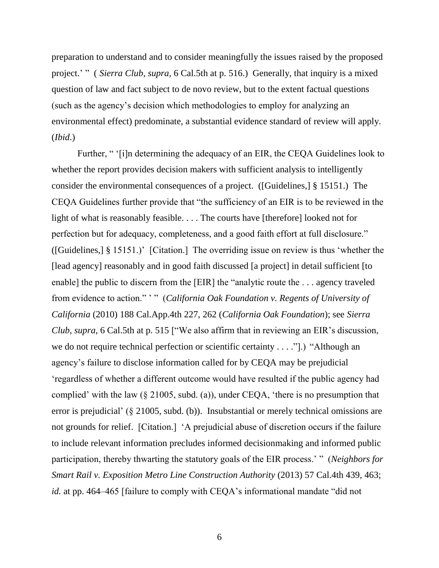preparation to understand and to consider meaningfully the issues raised by the proposed project.' " ( *Sierra Club*, *supra*, 6 Cal.5th at p. 516.) Generally, that inquiry is a mixed question of law and fact subject to de novo review, but to the extent factual questions (such as the agency's decision which methodologies to employ for analyzing an environmental effect) predominate, a substantial evidence standard of review will apply. (*Ibid*.)

Further, " '[i]n determining the adequacy of an EIR, the CEQA Guidelines look to whether the report provides decision makers with sufficient analysis to intelligently consider the environmental consequences of a project. ([Guidelines,] § 15151.) The CEQA Guidelines further provide that "the sufficiency of an EIR is to be reviewed in the light of what is reasonably feasible. . . . The courts have [therefore] looked not for perfection but for adequacy, completeness, and a good faith effort at full disclosure." ([Guidelines,] § 15151.)' [Citation.] The overriding issue on review is thus 'whether the [lead agency] reasonably and in good faith discussed [a project] in detail sufficient [to enable] the public to discern from the [EIR] the "analytic route the . . . agency traveled from evidence to action." ' " (*California Oak Foundation v. Regents of University of California* (2010) 188 Cal.App.4th 227, 262 (*California Oak Foundation*); see *Sierra Club, supra,* 6 Cal.5th at p. 515 ["We also affirm that in reviewing an EIR's discussion, we do not require technical perfection or scientific certainty . . . ."].) "Although an agency's failure to disclose information called for by CEQA may be prejudicial 'regardless of whether a different outcome would have resulted if the public agency had complied' with the law (§ 21005, subd. (a)), under CEQA, 'there is no presumption that error is prejudicial' (§ 21005, subd. (b)). Insubstantial or merely technical omissions are not grounds for relief. [Citation.] 'A prejudicial abuse of discretion occurs if the failure to include relevant information precludes informed decisionmaking and informed public participation, thereby thwarting the statutory goals of the EIR process.' " (*Neighbors for Smart Rail v. Exposition Metro Line Construction Authority* (2013) 57 Cal.4th 439, 463; *id.* at pp. 464–465 [failure to comply with CEQA's informational mandate "did not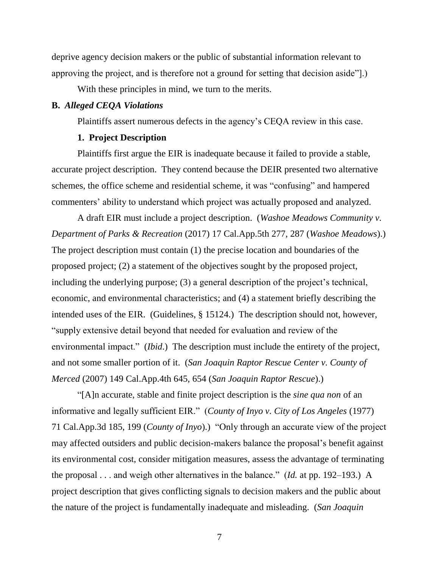deprive agency decision makers or the public of substantial information relevant to approving the project, and is therefore not a ground for setting that decision aside"].)

With these principles in mind, we turn to the merits.

#### **B.** *Alleged CEQA Violations*

Plaintiffs assert numerous defects in the agency's CEQA review in this case.

## **1. Project Description**

Plaintiffs first argue the EIR is inadequate because it failed to provide a stable, accurate project description. They contend because the DEIR presented two alternative schemes, the office scheme and residential scheme, it was "confusing" and hampered commenters' ability to understand which project was actually proposed and analyzed.

A draft EIR must include a project description. (*Washoe Meadows Community v. Department of Parks & Recreation* (2017) 17 Cal.App.5th 277, 287 (*Washoe Meadows*).) The project description must contain (1) the precise location and boundaries of the proposed project; (2) a statement of the objectives sought by the proposed project, including the underlying purpose; (3) a general description of the project's technical, economic, and environmental characteristics; and (4) a statement briefly describing the intended uses of the EIR. (Guidelines, § 15124.) The description should not, however, "supply extensive detail beyond that needed for evaluation and review of the environmental impact." (*Ibid*.) The description must include the entirety of the project, and not some smaller portion of it. (*San Joaquin Raptor Rescue Center v. County of Merced* (2007) 149 Cal.App.4th 645, 654 (*San Joaquin Raptor Rescue*).)

"[A]n accurate, stable and finite project description is the *sine qua non* of an informative and legally sufficient EIR." (*County of Inyo v. City of Los Angeles* (1977) 71 Cal.App.3d 185, 199 (*County of Inyo*).) "Only through an accurate view of the project may affected outsiders and public decision-makers balance the proposal's benefit against its environmental cost, consider mitigation measures, assess the advantage of terminating the proposal . . . and weigh other alternatives in the balance." (*Id.* at pp. 192–193.) A project description that gives conflicting signals to decision makers and the public about the nature of the project is fundamentally inadequate and misleading. (*San Joaquin*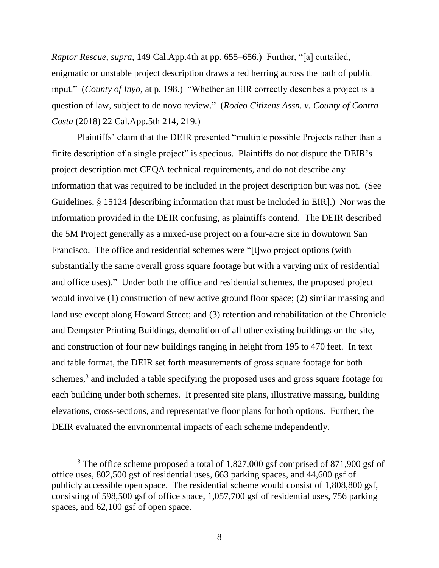*Raptor Rescue*, *supra*, 149 Cal.App.4th at pp. 655–656.) Further, "[a] curtailed, enigmatic or unstable project description draws a red herring across the path of public input." (*County of Inyo*, at p. 198.) "Whether an EIR correctly describes a project is a question of law, subject to de novo review." (*Rodeo Citizens Assn. v. County of Contra Costa* (2018) 22 Cal.App.5th 214, 219.)

Plaintiffs' claim that the DEIR presented "multiple possible Projects rather than a finite description of a single project" is specious. Plaintiffs do not dispute the DEIR's project description met CEQA technical requirements, and do not describe any information that was required to be included in the project description but was not. (See Guidelines, § 15124 [describing information that must be included in EIR].) Nor was the information provided in the DEIR confusing, as plaintiffs contend. The DEIR described the 5M Project generally as a mixed-use project on a four-acre site in downtown San Francisco. The office and residential schemes were "[t]wo project options (with substantially the same overall gross square footage but with a varying mix of residential and office uses)." Under both the office and residential schemes, the proposed project would involve (1) construction of new active ground floor space; (2) similar massing and land use except along Howard Street; and (3) retention and rehabilitation of the Chronicle and Dempster Printing Buildings, demolition of all other existing buildings on the site, and construction of four new buildings ranging in height from 195 to 470 feet. In text and table format, the DEIR set forth measurements of gross square footage for both schemes,<sup>3</sup> and included a table specifying the proposed uses and gross square footage for each building under both schemes. It presented site plans, illustrative massing, building elevations, cross-sections, and representative floor plans for both options. Further, the DEIR evaluated the environmental impacts of each scheme independently.

<sup>&</sup>lt;sup>3</sup> The office scheme proposed a total of 1,827,000 gsf comprised of 871,900 gsf of office uses, 802,500 gsf of residential uses, 663 parking spaces, and 44,600 gsf of publicly accessible open space. The residential scheme would consist of 1,808,800 gsf, consisting of 598,500 gsf of office space, 1,057,700 gsf of residential uses, 756 parking spaces, and 62,100 gsf of open space.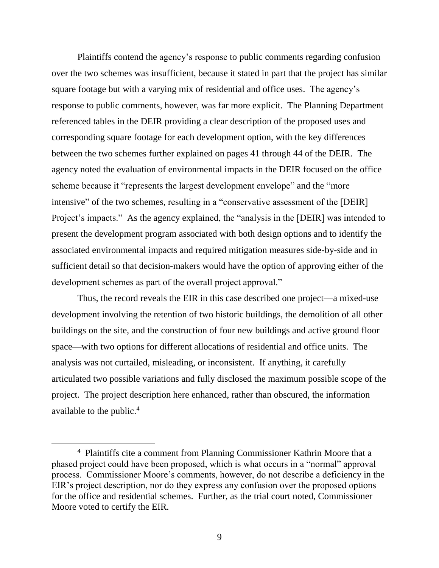Plaintiffs contend the agency's response to public comments regarding confusion over the two schemes was insufficient, because it stated in part that the project has similar square footage but with a varying mix of residential and office uses. The agency's response to public comments, however, was far more explicit. The Planning Department referenced tables in the DEIR providing a clear description of the proposed uses and corresponding square footage for each development option, with the key differences between the two schemes further explained on pages 41 through 44 of the DEIR. The agency noted the evaluation of environmental impacts in the DEIR focused on the office scheme because it "represents the largest development envelope" and the "more intensive" of the two schemes, resulting in a "conservative assessment of the [DEIR] Project's impacts." As the agency explained, the "analysis in the [DEIR] was intended to present the development program associated with both design options and to identify the associated environmental impacts and required mitigation measures side-by-side and in sufficient detail so that decision-makers would have the option of approving either of the development schemes as part of the overall project approval."

Thus, the record reveals the EIR in this case described one project—a mixed-use development involving the retention of two historic buildings, the demolition of all other buildings on the site, and the construction of four new buildings and active ground floor space—with two options for different allocations of residential and office units. The analysis was not curtailed, misleading, or inconsistent. If anything, it carefully articulated two possible variations and fully disclosed the maximum possible scope of the project. The project description here enhanced, rather than obscured, the information available to the public.<sup>4</sup>

<sup>&</sup>lt;sup>4</sup> Plaintiffs cite a comment from Planning Commissioner Kathrin Moore that a phased project could have been proposed, which is what occurs in a "normal" approval process. Commissioner Moore's comments, however, do not describe a deficiency in the EIR's project description, nor do they express any confusion over the proposed options for the office and residential schemes. Further, as the trial court noted, Commissioner Moore voted to certify the EIR.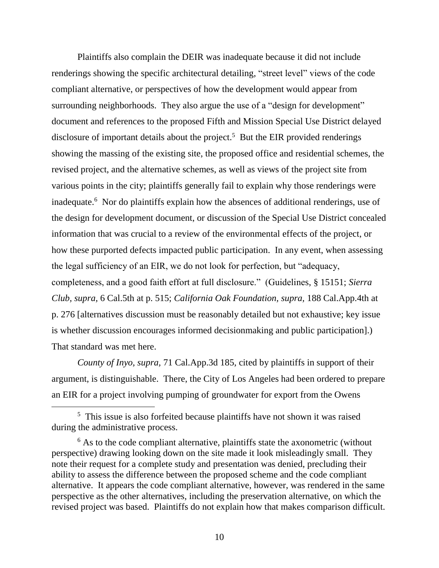Plaintiffs also complain the DEIR was inadequate because it did not include renderings showing the specific architectural detailing, "street level" views of the code compliant alternative, or perspectives of how the development would appear from surrounding neighborhoods. They also argue the use of a "design for development" document and references to the proposed Fifth and Mission Special Use District delayed disclosure of important details about the project.<sup>5</sup> But the EIR provided renderings showing the massing of the existing site, the proposed office and residential schemes, the revised project, and the alternative schemes, as well as views of the project site from various points in the city; plaintiffs generally fail to explain why those renderings were inadequate. <sup>6</sup> Nor do plaintiffs explain how the absences of additional renderings, use of the design for development document, or discussion of the Special Use District concealed information that was crucial to a review of the environmental effects of the project, or how these purported defects impacted public participation. In any event, when assessing the legal sufficiency of an EIR, we do not look for perfection, but "adequacy, completeness, and a good faith effort at full disclosure." (Guidelines, § 15151; *Sierra Club, supra,* 6 Cal.5th at p. 515; *California Oak Foundation, supra,* 188 Cal.App.4th at p. 276 [alternatives discussion must be reasonably detailed but not exhaustive; key issue is whether discussion encourages informed decisionmaking and public participation].) That standard was met here.

*County of Inyo, supra,* 71 Cal.App.3d 185*,* cited by plaintiffs in support of their argument, is distinguishable. There, the City of Los Angeles had been ordered to prepare an EIR for a project involving pumping of groundwater for export from the Owens

 $\overline{a}$ 

<sup>&</sup>lt;sup>5</sup> This issue is also forfeited because plaintiffs have not shown it was raised during the administrative process.

 $6$  As to the code compliant alternative, plaintiffs state the axonometric (without perspective) drawing looking down on the site made it look misleadingly small. They note their request for a complete study and presentation was denied, precluding their ability to assess the difference between the proposed scheme and the code compliant alternative. It appears the code compliant alternative, however, was rendered in the same perspective as the other alternatives, including the preservation alternative, on which the revised project was based. Plaintiffs do not explain how that makes comparison difficult.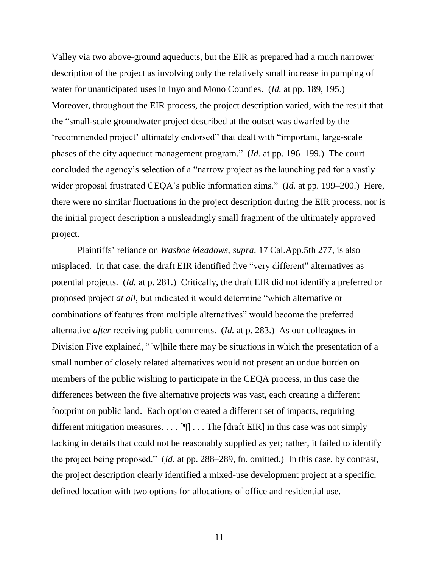Valley via two above-ground aqueducts, but the EIR as prepared had a much narrower description of the project as involving only the relatively small increase in pumping of water for unanticipated uses in Inyo and Mono Counties. (*Id.* at pp. 189, 195.) Moreover, throughout the EIR process, the project description varied, with the result that the "small-scale groundwater project described at the outset was dwarfed by the 'recommended project' ultimately endorsed" that dealt with "important, large-scale phases of the city aqueduct management program." (*Id.* at pp. 196–199.) The court concluded the agency's selection of a "narrow project as the launching pad for a vastly wider proposal frustrated CEQA's public information aims." (*Id.* at pp. 199–200.) Here, there were no similar fluctuations in the project description during the EIR process, nor is the initial project description a misleadingly small fragment of the ultimately approved project.

Plaintiffs' reliance on *Washoe Meadows, supra,* 17 Cal.App.5th 277, is also misplaced. In that case, the draft EIR identified five "very different" alternatives as potential projects. (*Id.* at p. 281.) Critically, the draft EIR did not identify a preferred or proposed project *at all*, but indicated it would determine "which alternative or combinations of features from multiple alternatives" would become the preferred alternative *after* receiving public comments. (*Id.* at p. 283.) As our colleagues in Division Five explained, "[w]hile there may be situations in which the presentation of a small number of closely related alternatives would not present an undue burden on members of the public wishing to participate in the CEQA process, in this case the differences between the five alternative projects was vast, each creating a different footprint on public land. Each option created a different set of impacts, requiring different mitigation measures.  $\dots$  [ $\blacksquare$ ] ... The [draft EIR] in this case was not simply lacking in details that could not be reasonably supplied as yet; rather, it failed to identify the project being proposed." (*Id.* at pp. 288–289, fn. omitted.) In this case, by contrast, the project description clearly identified a mixed-use development project at a specific, defined location with two options for allocations of office and residential use.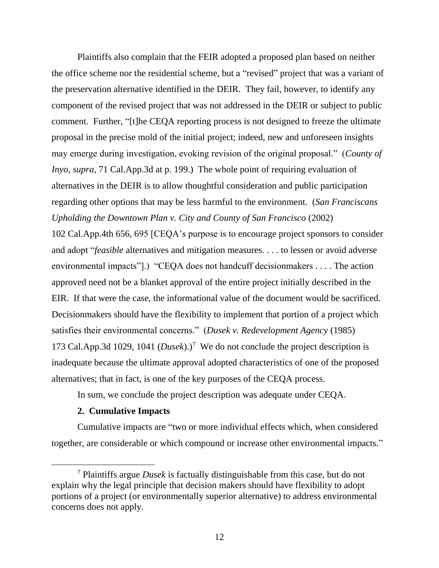Plaintiffs also complain that the FEIR adopted a proposed plan based on neither the office scheme nor the residential scheme, but a "revised" project that was a variant of the preservation alternative identified in the DEIR. They fail, however, to identify any component of the revised project that was not addressed in the DEIR or subject to public comment. Further, "[t]he CEQA reporting process is not designed to freeze the ultimate proposal in the precise mold of the initial project; indeed, new and unforeseen insights may emerge during investigation, evoking revision of the original proposal." (*County of Inyo, supra,* 71 Cal.App.3d at p. 199.) The whole point of requiring evaluation of alternatives in the DEIR is to allow thoughtful consideration and public participation regarding other options that may be less harmful to the environment. (*San Franciscans Upholding the Downtown Plan v. City and County of San Francisco* (2002)

102 Cal.App.4th 656, 695 [CEQA's purpose is to encourage project sponsors to consider and adopt "*feasible* alternatives and mitigation measures. . . . to lessen or avoid adverse environmental impacts"].) "CEQA does not handcuff decisionmakers . . . . The action approved need not be a blanket approval of the entire project initially described in the EIR. If that were the case, the informational value of the document would be sacrificed. Decisionmakers should have the flexibility to implement that portion of a project which satisfies their environmental concerns." (*Dusek v. Redevelopment Agency* (1985) 173 Cal.App.3d 1029, 1041  $(Dusek)$ .<sup>7</sup> We do not conclude the project description is inadequate because the ultimate approval adopted characteristics of one of the proposed alternatives; that in fact, is one of the key purposes of the CEQA process.

In sum, we conclude the project description was adequate under CEQA.

## **2. Cumulative Impacts**

Cumulative impacts are "two or more individual effects which, when considered together, are considerable or which compound or increase other environmental impacts."

<sup>7</sup> Plaintiffs argue *Dusek* is factually distinguishable from this case, but do not explain why the legal principle that decision makers should have flexibility to adopt portions of a project (or environmentally superior alternative) to address environmental concerns does not apply.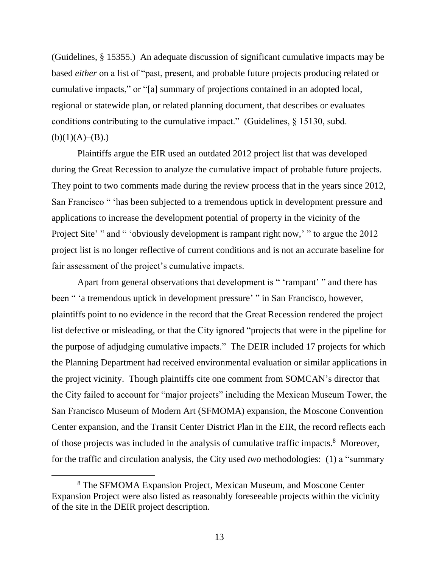(Guidelines, § 15355.) An adequate discussion of significant cumulative impacts may be based *either* on a list of "past, present, and probable future projects producing related or cumulative impacts," or "[a] summary of projections contained in an adopted local, regional or statewide plan, or related planning document, that describes or evaluates conditions contributing to the cumulative impact." (Guidelines, § 15130, subd.  $(b)(1)(A)–(B).$ 

Plaintiffs argue the EIR used an outdated 2012 project list that was developed during the Great Recession to analyze the cumulative impact of probable future projects. They point to two comments made during the review process that in the years since 2012, San Francisco " 'has been subjected to a tremendous uptick in development pressure and applications to increase the development potential of property in the vicinity of the Project Site' " and " 'obviously development is rampant right now,' " to argue the 2012 project list is no longer reflective of current conditions and is not an accurate baseline for fair assessment of the project's cumulative impacts.

Apart from general observations that development is " 'rampant' " and there has been " 'a tremendous uptick in development pressure' " in San Francisco, however, plaintiffs point to no evidence in the record that the Great Recession rendered the project list defective or misleading, or that the City ignored "projects that were in the pipeline for the purpose of adjudging cumulative impacts." The DEIR included 17 projects for which the Planning Department had received environmental evaluation or similar applications in the project vicinity. Though plaintiffs cite one comment from SOMCAN's director that the City failed to account for "major projects" including the Mexican Museum Tower, the San Francisco Museum of Modern Art (SFMOMA) expansion, the Moscone Convention Center expansion, and the Transit Center District Plan in the EIR, the record reflects each of those projects was included in the analysis of cumulative traffic impacts. <sup>8</sup> Moreover, for the traffic and circulation analysis, the City used *two* methodologies: (1) a "summary

<sup>8</sup> The SFMOMA Expansion Project, Mexican Museum, and Moscone Center Expansion Project were also listed as reasonably foreseeable projects within the vicinity of the site in the DEIR project description.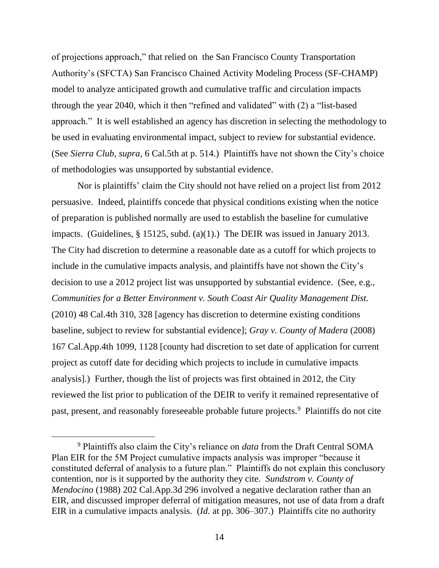of projections approach," that relied on the San Francisco County Transportation Authority's (SFCTA) San Francisco Chained Activity Modeling Process (SF-CHAMP) model to analyze anticipated growth and cumulative traffic and circulation impacts through the year 2040, which it then "refined and validated" with (2) a "list-based approach." It is well established an agency has discretion in selecting the methodology to be used in evaluating environmental impact, subject to review for substantial evidence. (See *Sierra Club, supra,* 6 Cal.5th at p. 514.) Plaintiffs have not shown the City's choice of methodologies was unsupported by substantial evidence.

Nor is plaintiffs' claim the City should not have relied on a project list from 2012 persuasive. Indeed, plaintiffs concede that physical conditions existing when the notice of preparation is published normally are used to establish the baseline for cumulative impacts. (Guidelines, § 15125, subd. (a)(1).) The DEIR was issued in January 2013. The City had discretion to determine a reasonable date as a cutoff for which projects to include in the cumulative impacts analysis, and plaintiffs have not shown the City's decision to use a 2012 project list was unsupported by substantial evidence. (See, e.g., *Communities for a Better Environment v. South Coast Air Quality Management Dist.*  (2010) 48 Cal.4th 310, 328 [agency has discretion to determine existing conditions baseline, subject to review for substantial evidence]; *Gray v. County of Madera* (2008) 167 Cal.App.4th 1099, 1128 [county had discretion to set date of application for current project as cutoff date for deciding which projects to include in cumulative impacts analysis].) Further, though the list of projects was first obtained in 2012, the City reviewed the list prior to publication of the DEIR to verify it remained representative of past, present, and reasonably foreseeable probable future projects.<sup>9</sup> Plaintiffs do not cite

<sup>9</sup> Plaintiffs also claim the City's reliance on *data* from the Draft Central SOMA Plan EIR for the 5M Project cumulative impacts analysis was improper "because it constituted deferral of analysis to a future plan." Plaintiffs do not explain this conclusory contention, nor is it supported by the authority they cite. *Sundstrom v. County of Mendocino* (1988) 202 Cal.App.3d 296 involved a negative declaration rather than an EIR, and discussed improper deferral of mitigation measures, not use of data from a draft EIR in a cumulative impacts analysis. (*Id.* at pp. 306–307.) Plaintiffs cite no authority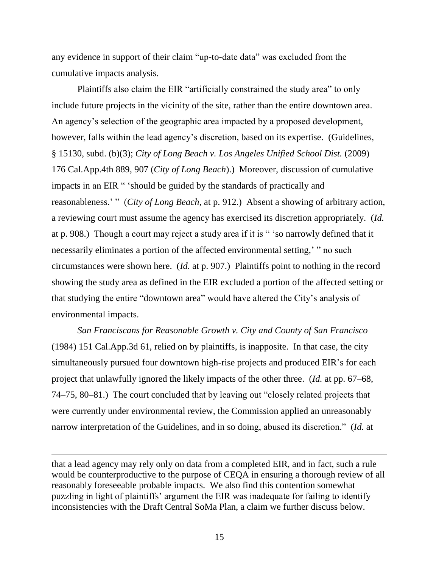any evidence in support of their claim "up-to-date data" was excluded from the cumulative impacts analysis.

Plaintiffs also claim the EIR "artificially constrained the study area" to only include future projects in the vicinity of the site, rather than the entire downtown area. An agency's selection of the geographic area impacted by a proposed development, however, falls within the lead agency's discretion, based on its expertise. (Guidelines, § 15130, subd. (b)(3); *City of Long Beach v. Los Angeles Unified School Dist.* (2009) 176 Cal.App.4th 889, 907 (*City of Long Beach*).) Moreover, discussion of cumulative impacts in an EIR " 'should be guided by the standards of practically and reasonableness.' " (*City of Long Beach,* at p. 912.) Absent a showing of arbitrary action, a reviewing court must assume the agency has exercised its discretion appropriately. (*Id.* at p. 908.) Though a court may reject a study area if it is " 'so narrowly defined that it necessarily eliminates a portion of the affected environmental setting,' " no such circumstances were shown here. (*Id.* at p. 907.) Plaintiffs point to nothing in the record showing the study area as defined in the EIR excluded a portion of the affected setting or that studying the entire "downtown area" would have altered the City's analysis of environmental impacts.

*San Franciscans for Reasonable Growth v. City and County of San Francisco* (1984) 151 Cal.App.3d 61, relied on by plaintiffs, is inapposite. In that case, the city simultaneously pursued four downtown high-rise projects and produced EIR's for each project that unlawfully ignored the likely impacts of the other three. (*Id.* at pp. 67–68, 74–75, 80–81.) The court concluded that by leaving out "closely related projects that were currently under environmental review, the Commission applied an unreasonably narrow interpretation of the Guidelines, and in so doing, abused its discretion." (*Id.* at

that a lead agency may rely only on data from a completed EIR, and in fact, such a rule would be counterproductive to the purpose of CEQA in ensuring a thorough review of all reasonably foreseeable probable impacts. We also find this contention somewhat puzzling in light of plaintiffs' argument the EIR was inadequate for failing to identify inconsistencies with the Draft Central SoMa Plan, a claim we further discuss below.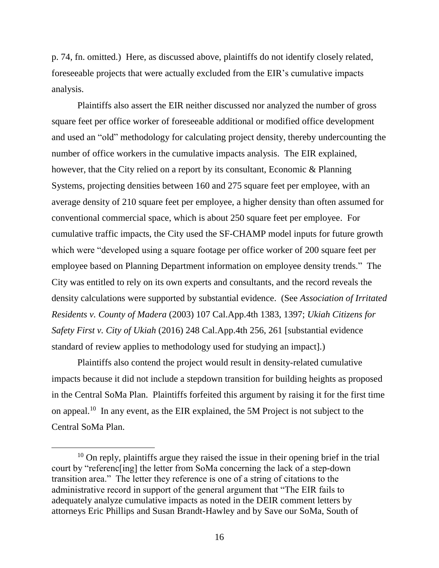p. 74, fn. omitted.) Here, as discussed above, plaintiffs do not identify closely related, foreseeable projects that were actually excluded from the EIR's cumulative impacts analysis.

Plaintiffs also assert the EIR neither discussed nor analyzed the number of gross square feet per office worker of foreseeable additional or modified office development and used an "old" methodology for calculating project density, thereby undercounting the number of office workers in the cumulative impacts analysis. The EIR explained, however, that the City relied on a report by its consultant, Economic & Planning Systems, projecting densities between 160 and 275 square feet per employee, with an average density of 210 square feet per employee, a higher density than often assumed for conventional commercial space, which is about 250 square feet per employee. For cumulative traffic impacts, the City used the SF-CHAMP model inputs for future growth which were "developed using a square footage per office worker of 200 square feet per employee based on Planning Department information on employee density trends." The City was entitled to rely on its own experts and consultants, and the record reveals the density calculations were supported by substantial evidence. (See *Association of Irritated Residents v. County of Madera* (2003) 107 Cal.App.4th 1383, 1397; *Ukiah Citizens for Safety First v. City of Ukiah* (2016) 248 Cal.App.4th 256, 261 [substantial evidence standard of review applies to methodology used for studying an impact].)

Plaintiffs also contend the project would result in density-related cumulative impacts because it did not include a stepdown transition for building heights as proposed in the Central SoMa Plan. Plaintiffs forfeited this argument by raising it for the first time on appeal.<sup>10</sup> In any event, as the EIR explained, the 5M Project is not subject to the Central SoMa Plan.

 $10$  On reply, plaintiffs argue they raised the issue in their opening brief in the trial court by "referenc[ing] the letter from SoMa concerning the lack of a step-down transition area." The letter they reference is one of a string of citations to the administrative record in support of the general argument that "The EIR fails to adequately analyze cumulative impacts as noted in the DEIR comment letters by attorneys Eric Phillips and Susan Brandt-Hawley and by Save our SoMa, South of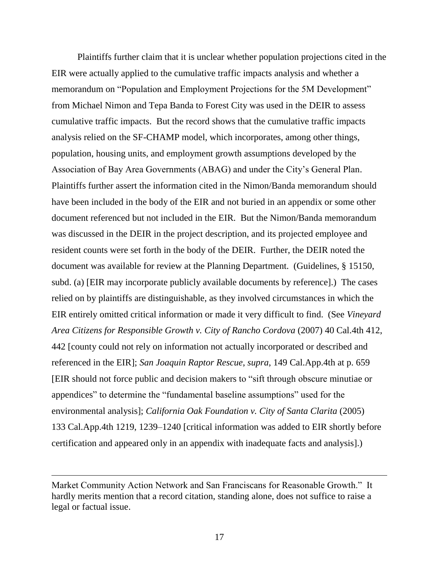Plaintiffs further claim that it is unclear whether population projections cited in the EIR were actually applied to the cumulative traffic impacts analysis and whether a memorandum on "Population and Employment Projections for the 5M Development" from Michael Nimon and Tepa Banda to Forest City was used in the DEIR to assess cumulative traffic impacts. But the record shows that the cumulative traffic impacts analysis relied on the SF-CHAMP model, which incorporates, among other things, population, housing units, and employment growth assumptions developed by the Association of Bay Area Governments (ABAG) and under the City's General Plan. Plaintiffs further assert the information cited in the Nimon/Banda memorandum should have been included in the body of the EIR and not buried in an appendix or some other document referenced but not included in the EIR. But the Nimon/Banda memorandum was discussed in the DEIR in the project description, and its projected employee and resident counts were set forth in the body of the DEIR. Further, the DEIR noted the document was available for review at the Planning Department. (Guidelines, § 15150, subd. (a) [EIR may incorporate publicly available documents by reference].) The cases relied on by plaintiffs are distinguishable, as they involved circumstances in which the EIR entirely omitted critical information or made it very difficult to find. (See *Vineyard Area Citizens for Responsible Growth v. City of Rancho Cordova* (2007) 40 Cal.4th 412, 442 [county could not rely on information not actually incorporated or described and referenced in the EIR]; *San Joaquin Raptor Rescue*, *supra*, 149 Cal.App.4th at p. 659 [EIR should not force public and decision makers to "sift through obscure minutiae or appendices" to determine the "fundamental baseline assumptions" used for the environmental analysis]; *California Oak Foundation v. City of Santa Clarita* (2005) 133 Cal.App.4th 1219, 1239–1240 [critical information was added to EIR shortly before certification and appeared only in an appendix with inadequate facts and analysis].)

Market Community Action Network and San Franciscans for Reasonable Growth." It hardly merits mention that a record citation, standing alone, does not suffice to raise a legal or factual issue.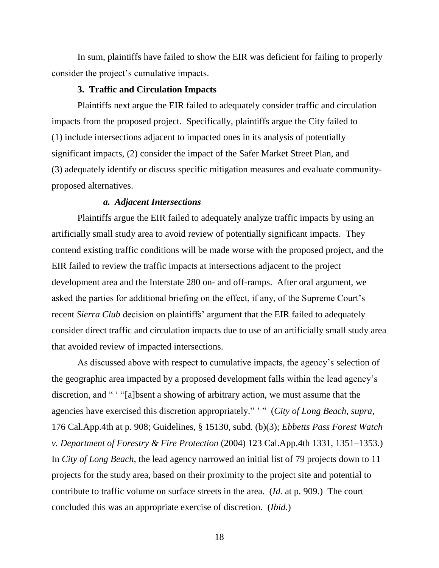In sum, plaintiffs have failed to show the EIR was deficient for failing to properly consider the project's cumulative impacts.

#### **3. Traffic and Circulation Impacts**

Plaintiffs next argue the EIR failed to adequately consider traffic and circulation impacts from the proposed project. Specifically, plaintiffs argue the City failed to (1) include intersections adjacent to impacted ones in its analysis of potentially significant impacts, (2) consider the impact of the Safer Market Street Plan, and (3) adequately identify or discuss specific mitigation measures and evaluate communityproposed alternatives.

## *a. Adjacent Intersections*

Plaintiffs argue the EIR failed to adequately analyze traffic impacts by using an artificially small study area to avoid review of potentially significant impacts. They contend existing traffic conditions will be made worse with the proposed project, and the EIR failed to review the traffic impacts at intersections adjacent to the project development area and the Interstate 280 on- and off-ramps. After oral argument, we asked the parties for additional briefing on the effect, if any, of the Supreme Court's recent *Sierra Club* decision on plaintiffs' argument that the EIR failed to adequately consider direct traffic and circulation impacts due to use of an artificially small study area that avoided review of impacted intersections.

As discussed above with respect to cumulative impacts, the agency's selection of the geographic area impacted by a proposed development falls within the lead agency's discretion, and " ' "[a]bsent a showing of arbitrary action, we must assume that the agencies have exercised this discretion appropriately." ' " (*City of Long Beach, supra*, 176 Cal.App.4th at p. 908; Guidelines, § 15130, subd. (b)(3); *Ebbetts Pass Forest Watch v. Department of Forestry & Fire Protection* (2004) 123 Cal.App.4th 1331, 1351–1353.) In *City of Long Beach,* the lead agency narrowed an initial list of 79 projects down to 11 projects for the study area, based on their proximity to the project site and potential to contribute to traffic volume on surface streets in the area. (*Id.* at p. 909.) The court concluded this was an appropriate exercise of discretion. (*Ibid.*)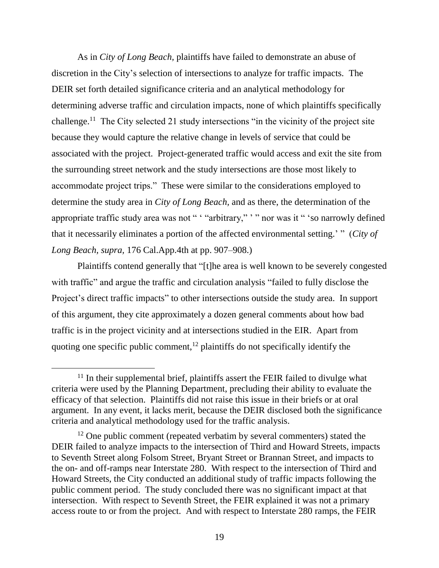As in *City of Long Beach,* plaintiffs have failed to demonstrate an abuse of discretion in the City's selection of intersections to analyze for traffic impacts. The DEIR set forth detailed significance criteria and an analytical methodology for determining adverse traffic and circulation impacts, none of which plaintiffs specifically challenge.<sup>11</sup> The City selected 21 study intersections "in the vicinity of the project site because they would capture the relative change in levels of service that could be associated with the project. Project-generated traffic would access and exit the site from the surrounding street network and the study intersections are those most likely to accommodate project trips." These were similar to the considerations employed to determine the study area in *City of Long Beach,* and as there, the determination of the appropriate traffic study area was not " ' "arbitrary," ' " nor was it " 'so narrowly defined that it necessarily eliminates a portion of the affected environmental setting.' " (*City of Long Beach, supra,* 176 Cal.App.4th at pp. 907–908.)

Plaintiffs contend generally that "[t]he area is well known to be severely congested with traffic" and argue the traffic and circulation analysis "failed to fully disclose the Project's direct traffic impacts" to other intersections outside the study area. In support of this argument, they cite approximately a dozen general comments about how bad traffic is in the project vicinity and at intersections studied in the EIR. Apart from quoting one specific public comment, $12$  plaintiffs do not specifically identify the

<sup>&</sup>lt;sup>11</sup> In their supplemental brief, plaintiffs assert the FEIR failed to divulge what criteria were used by the Planning Department, precluding their ability to evaluate the efficacy of that selection. Plaintiffs did not raise this issue in their briefs or at oral argument. In any event, it lacks merit, because the DEIR disclosed both the significance criteria and analytical methodology used for the traffic analysis.

 $12$  One public comment (repeated verbatim by several commenters) stated the DEIR failed to analyze impacts to the intersection of Third and Howard Streets, impacts to Seventh Street along Folsom Street, Bryant Street or Brannan Street, and impacts to the on- and off-ramps near Interstate 280. With respect to the intersection of Third and Howard Streets, the City conducted an additional study of traffic impacts following the public comment period. The study concluded there was no significant impact at that intersection. With respect to Seventh Street, the FEIR explained it was not a primary access route to or from the project. And with respect to Interstate 280 ramps, the FEIR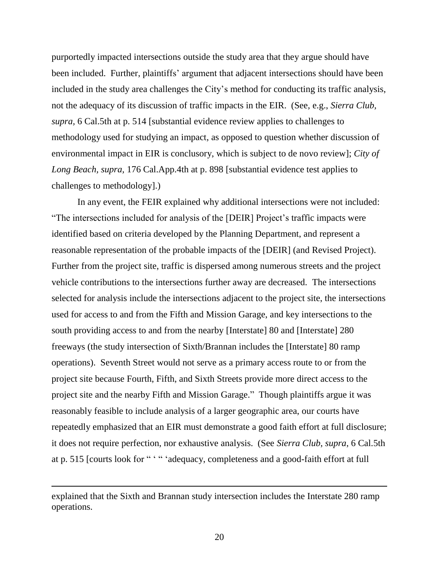purportedly impacted intersections outside the study area that they argue should have been included. Further, plaintiffs' argument that adjacent intersections should have been included in the study area challenges the City's method for conducting its traffic analysis, not the adequacy of its discussion of traffic impacts in the EIR. (See, e.g., *Sierra Club, supra,* 6 Cal.5th at p. 514 [substantial evidence review applies to challenges to methodology used for studying an impact, as opposed to question whether discussion of environmental impact in EIR is conclusory, which is subject to de novo review]; *City of Long Beach, supra,* 176 Cal.App.4th at p. 898 [substantial evidence test applies to challenges to methodology].)

In any event, the FEIR explained why additional intersections were not included: "The intersections included for analysis of the [DEIR] Project's traffic impacts were identified based on criteria developed by the Planning Department, and represent a reasonable representation of the probable impacts of the [DEIR] (and Revised Project). Further from the project site, traffic is dispersed among numerous streets and the project vehicle contributions to the intersections further away are decreased. The intersections selected for analysis include the intersections adjacent to the project site, the intersections used for access to and from the Fifth and Mission Garage, and key intersections to the south providing access to and from the nearby [Interstate] 80 and [Interstate] 280 freeways (the study intersection of Sixth/Brannan includes the [Interstate] 80 ramp operations). Seventh Street would not serve as a primary access route to or from the project site because Fourth, Fifth, and Sixth Streets provide more direct access to the project site and the nearby Fifth and Mission Garage." Though plaintiffs argue it was reasonably feasible to include analysis of a larger geographic area, our courts have repeatedly emphasized that an EIR must demonstrate a good faith effort at full disclosure; it does not require perfection, nor exhaustive analysis. (See *Sierra Club*, *supra*, 6 Cal.5th at p. 515 [courts look for " ' " 'adequacy, completeness and a good-faith effort at full

 $\overline{a}$ 

explained that the Sixth and Brannan study intersection includes the Interstate 280 ramp operations.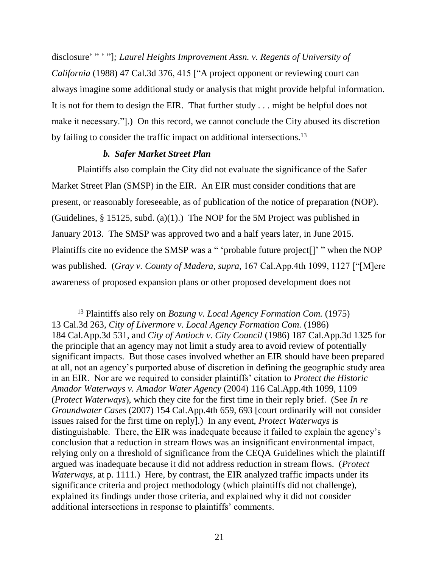disclosure' " ' "]*; Laurel Heights Improvement Assn. v. Regents of University of California* (1988) 47 Cal.3d 376, 415 ["A project opponent or reviewing court can always imagine some additional study or analysis that might provide helpful information. It is not for them to design the EIR. That further study . . . might be helpful does not make it necessary."].) On this record, we cannot conclude the City abused its discretion by failing to consider the traffic impact on additional intersections.<sup>13</sup>

## *b. Safer Market Street Plan*

Plaintiffs also complain the City did not evaluate the significance of the Safer Market Street Plan (SMSP) in the EIR. An EIR must consider conditions that are present, or reasonably foreseeable, as of publication of the notice of preparation (NOP). (Guidelines,  $\S 15125$ , subd. (a)(1).) The NOP for the 5M Project was published in January 2013. The SMSP was approved two and a half years later, in June 2015. Plaintiffs cite no evidence the SMSP was a " 'probable future project<sup>[]'</sup> " when the NOP was published. (*Gray v. County of Madera*, *supra*, 167 Cal.App.4th 1099, 1127 ["[M]ere awareness of proposed expansion plans or other proposed development does not

 <sup>13</sup> Plaintiffs also rely on *Bozung v. Local Agency Formation Com.* (1975) 13 Cal.3d 263*, City of Livermore v. Local Agency Formation Com.* (1986) 184 Cal.App.3d 531, and *City of Antioch v. City Council* (1986) 187 Cal.App.3d 1325 for the principle that an agency may not limit a study area to avoid review of potentially significant impacts. But those cases involved whether an EIR should have been prepared at all, not an agency's purported abuse of discretion in defining the geographic study area in an EIR. Nor are we required to consider plaintiffs' citation to *Protect the Historic Amador Waterways v. Amador Water Agency* (2004) 116 Cal.App.4th 1099, 1109 (*Protect Waterways*), which they cite for the first time in their reply brief. (See *In re Groundwater Cases* (2007) 154 Cal.App.4th 659, 693 [court ordinarily will not consider issues raised for the first time on reply].) In any event, *Protect Waterways* is distinguishable. There, the EIR was inadequate because it failed to explain the agency's conclusion that a reduction in stream flows was an insignificant environmental impact, relying only on a threshold of significance from the CEQA Guidelines which the plaintiff argued was inadequate because it did not address reduction in stream flows. (*Protect Waterways*, at p. 1111.) Here, by contrast, the EIR analyzed traffic impacts under its significance criteria and project methodology (which plaintiffs did not challenge), explained its findings under those criteria, and explained why it did not consider additional intersections in response to plaintiffs' comments.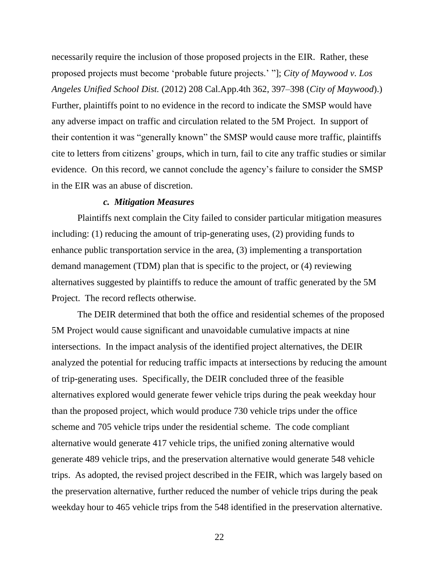necessarily require the inclusion of those proposed projects in the EIR. Rather, these proposed projects must become 'probable future projects.' "]; *City of Maywood v. Los Angeles Unified School Dist.* (2012) 208 Cal.App.4th 362, 397–398 (*City of Maywood*).) Further, plaintiffs point to no evidence in the record to indicate the SMSP would have any adverse impact on traffic and circulation related to the 5M Project. In support of their contention it was "generally known" the SMSP would cause more traffic, plaintiffs cite to letters from citizens' groups, which in turn, fail to cite any traffic studies or similar evidence. On this record, we cannot conclude the agency's failure to consider the SMSP in the EIR was an abuse of discretion.

#### *c. Mitigation Measures*

Plaintiffs next complain the City failed to consider particular mitigation measures including: (1) reducing the amount of trip-generating uses, (2) providing funds to enhance public transportation service in the area, (3) implementing a transportation demand management (TDM) plan that is specific to the project, or (4) reviewing alternatives suggested by plaintiffs to reduce the amount of traffic generated by the 5M Project. The record reflects otherwise.

The DEIR determined that both the office and residential schemes of the proposed 5M Project would cause significant and unavoidable cumulative impacts at nine intersections. In the impact analysis of the identified project alternatives, the DEIR analyzed the potential for reducing traffic impacts at intersections by reducing the amount of trip-generating uses. Specifically, the DEIR concluded three of the feasible alternatives explored would generate fewer vehicle trips during the peak weekday hour than the proposed project, which would produce 730 vehicle trips under the office scheme and 705 vehicle trips under the residential scheme. The code compliant alternative would generate 417 vehicle trips, the unified zoning alternative would generate 489 vehicle trips, and the preservation alternative would generate 548 vehicle trips. As adopted, the revised project described in the FEIR, which was largely based on the preservation alternative, further reduced the number of vehicle trips during the peak weekday hour to 465 vehicle trips from the 548 identified in the preservation alternative.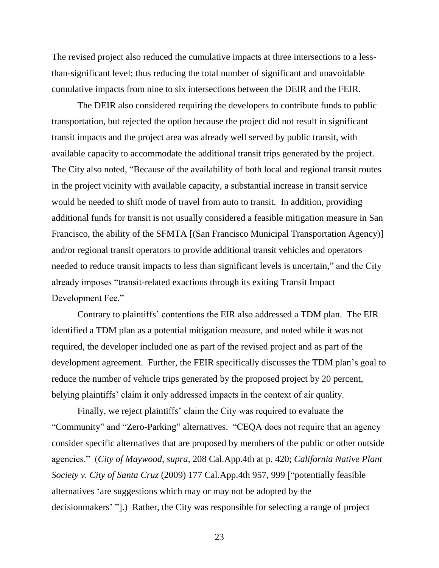The revised project also reduced the cumulative impacts at three intersections to a lessthan-significant level; thus reducing the total number of significant and unavoidable cumulative impacts from nine to six intersections between the DEIR and the FEIR.

The DEIR also considered requiring the developers to contribute funds to public transportation, but rejected the option because the project did not result in significant transit impacts and the project area was already well served by public transit, with available capacity to accommodate the additional transit trips generated by the project. The City also noted, "Because of the availability of both local and regional transit routes in the project vicinity with available capacity, a substantial increase in transit service would be needed to shift mode of travel from auto to transit. In addition, providing additional funds for transit is not usually considered a feasible mitigation measure in San Francisco, the ability of the SFMTA [(San Francisco Municipal Transportation Agency)] and/or regional transit operators to provide additional transit vehicles and operators needed to reduce transit impacts to less than significant levels is uncertain," and the City already imposes "transit-related exactions through its exiting Transit Impact Development Fee."

Contrary to plaintiffs' contentions the EIR also addressed a TDM plan. The EIR identified a TDM plan as a potential mitigation measure, and noted while it was not required, the developer included one as part of the revised project and as part of the development agreement. Further, the FEIR specifically discusses the TDM plan's goal to reduce the number of vehicle trips generated by the proposed project by 20 percent, belying plaintiffs' claim it only addressed impacts in the context of air quality.

Finally, we reject plaintiffs' claim the City was required to evaluate the "Community" and "Zero-Parking" alternatives. "CEQA does not require that an agency consider specific alternatives that are proposed by members of the public or other outside agencies." (*City of Maywood, supra,* 208 Cal.App.4th at p. 420; *California Native Plant Society v. City of Santa Cruz* (2009) 177 Cal.App.4th 957, 999 ["potentially feasible alternatives 'are suggestions which may or may not be adopted by the decisionmakers' "].) Rather, the City was responsible for selecting a range of project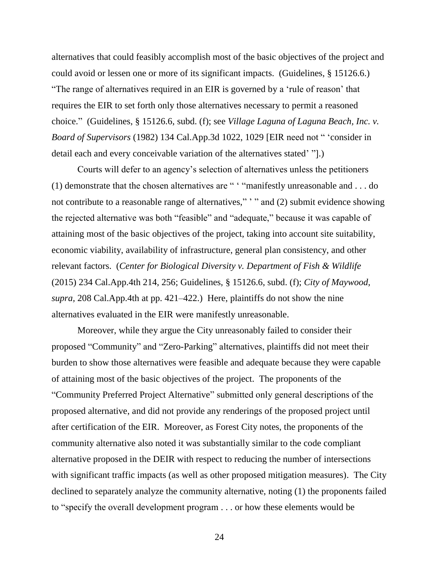alternatives that could feasibly accomplish most of the basic objectives of the project and could avoid or lessen one or more of its significant impacts. (Guidelines, § 15126.6.) "The range of alternatives required in an EIR is governed by a 'rule of reason' that requires the EIR to set forth only those alternatives necessary to permit a reasoned choice." (Guidelines, § 15126.6, subd. (f); see *Village Laguna of Laguna Beach, Inc. v. Board of Supervisors* (1982) 134 Cal.App.3d 1022, 1029 [EIR need not " 'consider in detail each and every conceivable variation of the alternatives stated' "].)

Courts will defer to an agency's selection of alternatives unless the petitioners (1) demonstrate that the chosen alternatives are " ' "manifestly unreasonable and . . . do not contribute to a reasonable range of alternatives," ' " and (2) submit evidence showing the rejected alternative was both "feasible" and "adequate," because it was capable of attaining most of the basic objectives of the project, taking into account site suitability, economic viability, availability of infrastructure, general plan consistency, and other relevant factors. (*Center for Biological Diversity v. Department of Fish & Wildlife*  (2015) 234 Cal.App.4th 214, 256; Guidelines, § 15126.6, subd. (f); *City of Maywood, supra,* 208 Cal.App.4th at pp. 421–422.) Here, plaintiffs do not show the nine alternatives evaluated in the EIR were manifestly unreasonable.

Moreover, while they argue the City unreasonably failed to consider their proposed "Community" and "Zero-Parking" alternatives, plaintiffs did not meet their burden to show those alternatives were feasible and adequate because they were capable of attaining most of the basic objectives of the project. The proponents of the "Community Preferred Project Alternative" submitted only general descriptions of the proposed alternative, and did not provide any renderings of the proposed project until after certification of the EIR. Moreover, as Forest City notes, the proponents of the community alternative also noted it was substantially similar to the code compliant alternative proposed in the DEIR with respect to reducing the number of intersections with significant traffic impacts (as well as other proposed mitigation measures). The City declined to separately analyze the community alternative, noting (1) the proponents failed to "specify the overall development program . . . or how these elements would be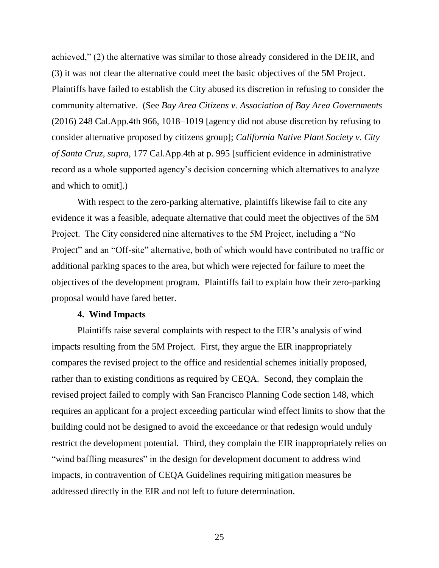achieved," (2) the alternative was similar to those already considered in the DEIR, and (3) it was not clear the alternative could meet the basic objectives of the 5M Project. Plaintiffs have failed to establish the City abused its discretion in refusing to consider the community alternative. (See *Bay Area Citizens v. Association of Bay Area Governments*  (2016) 248 Cal.App.4th 966, 1018–1019 [agency did not abuse discretion by refusing to consider alternative proposed by citizens group]; *California Native Plant Society v. City of Santa Cruz, supra,* 177 Cal.App.4th at p. 995 [sufficient evidence in administrative record as a whole supported agency's decision concerning which alternatives to analyze and which to omit].)

With respect to the zero-parking alternative, plaintiffs likewise fail to cite any evidence it was a feasible, adequate alternative that could meet the objectives of the 5M Project. The City considered nine alternatives to the 5M Project, including a "No Project" and an "Off-site" alternative, both of which would have contributed no traffic or additional parking spaces to the area, but which were rejected for failure to meet the objectives of the development program. Plaintiffs fail to explain how their zero-parking proposal would have fared better.

#### **4. Wind Impacts**

Plaintiffs raise several complaints with respect to the EIR's analysis of wind impacts resulting from the 5M Project. First, they argue the EIR inappropriately compares the revised project to the office and residential schemes initially proposed, rather than to existing conditions as required by CEQA. Second, they complain the revised project failed to comply with San Francisco Planning Code section 148, which requires an applicant for a project exceeding particular wind effect limits to show that the building could not be designed to avoid the exceedance or that redesign would unduly restrict the development potential. Third, they complain the EIR inappropriately relies on "wind baffling measures" in the design for development document to address wind impacts, in contravention of CEQA Guidelines requiring mitigation measures be addressed directly in the EIR and not left to future determination.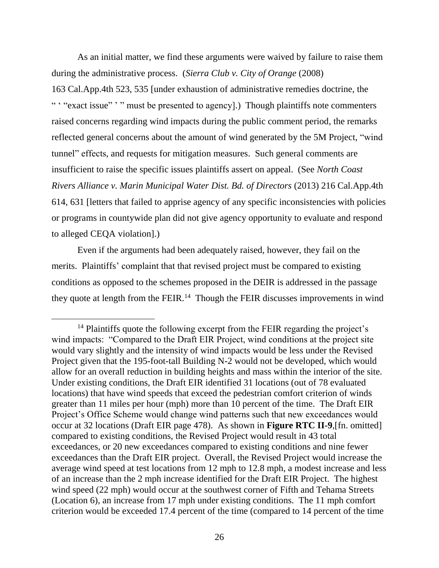As an initial matter, we find these arguments were waived by failure to raise them during the administrative process. (*Sierra Club v. City of Orange* (2008) 163 Cal.App.4th 523, 535 [under exhaustion of administrative remedies doctrine, the " "exact issue" '" must be presented to agency].) Though plaintiffs note commenters raised concerns regarding wind impacts during the public comment period, the remarks reflected general concerns about the amount of wind generated by the 5M Project, "wind tunnel" effects, and requests for mitigation measures. Such general comments are insufficient to raise the specific issues plaintiffs assert on appeal. (See *North Coast Rivers Alliance v. Marin Municipal Water Dist. Bd. of Directors* (2013) 216 Cal.App.4th 614, 631 [letters that failed to apprise agency of any specific inconsistencies with policies or programs in countywide plan did not give agency opportunity to evaluate and respond to alleged CEQA violation].)

Even if the arguments had been adequately raised, however, they fail on the merits. Plaintiffs' complaint that that revised project must be compared to existing conditions as opposed to the schemes proposed in the DEIR is addressed in the passage they quote at length from the FEIR.<sup>14</sup> Though the FEIR discusses improvements in wind

 $\overline{a}$ 

<sup>&</sup>lt;sup>14</sup> Plaintiffs quote the following excerpt from the FEIR regarding the project's wind impacts: "Compared to the Draft EIR Project, wind conditions at the project site would vary slightly and the intensity of wind impacts would be less under the Revised Project given that the 195-foot-tall Building N-2 would not be developed, which would allow for an overall reduction in building heights and mass within the interior of the site. Under existing conditions, the Draft EIR identified 31 locations (out of 78 evaluated locations) that have wind speeds that exceed the pedestrian comfort criterion of winds greater than 11 miles per hour (mph) more than 10 percent of the time. The Draft EIR Project's Office Scheme would change wind patterns such that new exceedances would occur at 32 locations (Draft EIR page 478). As shown in **Figure RTC II-9**,[fn. omitted] compared to existing conditions, the Revised Project would result in 43 total exceedances, or 20 new exceedances compared to existing conditions and nine fewer exceedances than the Draft EIR project. Overall, the Revised Project would increase the average wind speed at test locations from 12 mph to 12.8 mph, a modest increase and less of an increase than the 2 mph increase identified for the Draft EIR Project. The highest wind speed (22 mph) would occur at the southwest corner of Fifth and Tehama Streets (Location 6), an increase from 17 mph under existing conditions. The 11 mph comfort criterion would be exceeded 17.4 percent of the time (compared to 14 percent of the time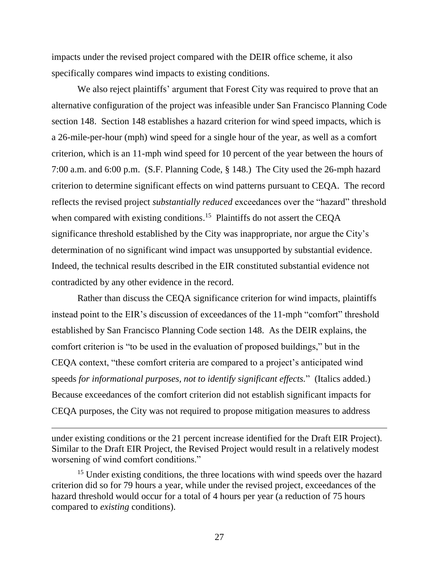impacts under the revised project compared with the DEIR office scheme, it also specifically compares wind impacts to existing conditions.

We also reject plaintiffs' argument that Forest City was required to prove that an alternative configuration of the project was infeasible under San Francisco Planning Code section 148. Section 148 establishes a hazard criterion for wind speed impacts, which is a 26-mile-per-hour (mph) wind speed for a single hour of the year, as well as a comfort criterion, which is an 11-mph wind speed for 10 percent of the year between the hours of 7:00 a.m. and 6:00 p.m. (S.F. Planning Code, § 148.) The City used the 26-mph hazard criterion to determine significant effects on wind patterns pursuant to CEQA. The record reflects the revised project *substantially reduced* exceedances over the "hazard" threshold when compared with existing conditions.<sup>15</sup> Plaintiffs do not assert the CEQA significance threshold established by the City was inappropriate, nor argue the City's determination of no significant wind impact was unsupported by substantial evidence. Indeed, the technical results described in the EIR constituted substantial evidence not contradicted by any other evidence in the record.

Rather than discuss the CEQA significance criterion for wind impacts, plaintiffs instead point to the EIR's discussion of exceedances of the 11-mph "comfort" threshold established by San Francisco Planning Code section 148. As the DEIR explains, the comfort criterion is "to be used in the evaluation of proposed buildings," but in the CEQA context, "these comfort criteria are compared to a project's anticipated wind speeds *for informational purposes, not to identify significant effects.*" (Italics added.) Because exceedances of the comfort criterion did not establish significant impacts for CEQA purposes, the City was not required to propose mitigation measures to address

under existing conditions or the 21 percent increase identified for the Draft EIR Project). Similar to the Draft EIR Project, the Revised Project would result in a relatively modest worsening of wind comfort conditions."

<sup>15</sup> Under existing conditions, the three locations with wind speeds over the hazard criterion did so for 79 hours a year, while under the revised project, exceedances of the hazard threshold would occur for a total of 4 hours per year (a reduction of 75 hours compared to *existing* conditions).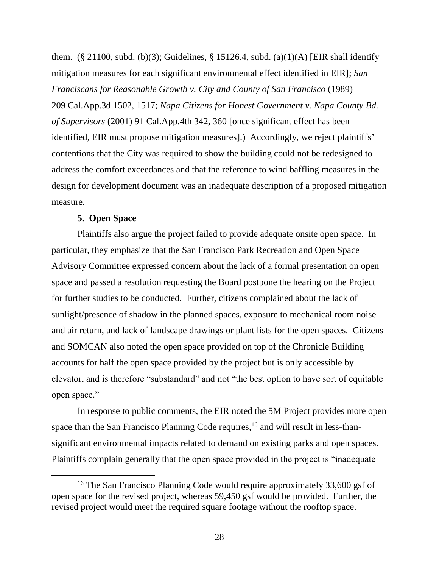them. (§ 21100, subd. (b)(3); Guidelines, § 15126.4, subd. (a)(1)(A) [EIR shall identify mitigation measures for each significant environmental effect identified in EIR]; *San Franciscans for Reasonable Growth v. City and County of San Francisco* (1989) 209 Cal.App.3d 1502, 1517; *Napa Citizens for Honest Government v. Napa County Bd. of Supervisors* (2001) 91 Cal.App.4th 342, 360 [once significant effect has been identified, EIR must propose mitigation measures].) Accordingly, we reject plaintiffs' contentions that the City was required to show the building could not be redesigned to address the comfort exceedances and that the reference to wind baffling measures in the design for development document was an inadequate description of a proposed mitigation measure.

## **5. Open Space**

Plaintiffs also argue the project failed to provide adequate onsite open space. In particular, they emphasize that the San Francisco Park Recreation and Open Space Advisory Committee expressed concern about the lack of a formal presentation on open space and passed a resolution requesting the Board postpone the hearing on the Project for further studies to be conducted. Further, citizens complained about the lack of sunlight/presence of shadow in the planned spaces, exposure to mechanical room noise and air return, and lack of landscape drawings or plant lists for the open spaces. Citizens and SOMCAN also noted the open space provided on top of the Chronicle Building accounts for half the open space provided by the project but is only accessible by elevator, and is therefore "substandard" and not "the best option to have sort of equitable open space."

In response to public comments, the EIR noted the 5M Project provides more open space than the San Francisco Planning Code requires, <sup>16</sup> and will result in less-thansignificant environmental impacts related to demand on existing parks and open spaces. Plaintiffs complain generally that the open space provided in the project is "inadequate

<sup>&</sup>lt;sup>16</sup> The San Francisco Planning Code would require approximately 33,600 gsf of open space for the revised project, whereas 59,450 gsf would be provided. Further, the revised project would meet the required square footage without the rooftop space.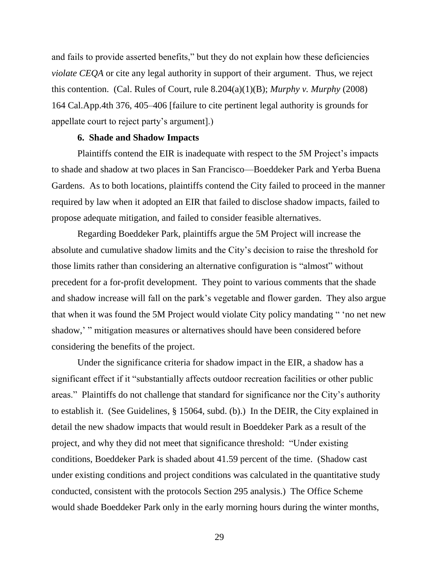and fails to provide asserted benefits," but they do not explain how these deficiencies *violate CEQA* or cite any legal authority in support of their argument. Thus, we reject this contention. (Cal. Rules of Court, rule 8.204(a)(1)(B); *Murphy v. Murphy* (2008) 164 Cal.App.4th 376, 405–406 [failure to cite pertinent legal authority is grounds for appellate court to reject party's argument].)

#### **6. Shade and Shadow Impacts**

Plaintiffs contend the EIR is inadequate with respect to the 5M Project's impacts to shade and shadow at two places in San Francisco—Boeddeker Park and Yerba Buena Gardens. As to both locations, plaintiffs contend the City failed to proceed in the manner required by law when it adopted an EIR that failed to disclose shadow impacts, failed to propose adequate mitigation, and failed to consider feasible alternatives.

Regarding Boeddeker Park, plaintiffs argue the 5M Project will increase the absolute and cumulative shadow limits and the City's decision to raise the threshold for those limits rather than considering an alternative configuration is "almost" without precedent for a for-profit development. They point to various comments that the shade and shadow increase will fall on the park's vegetable and flower garden. They also argue that when it was found the 5M Project would violate City policy mandating " 'no net new shadow,' " mitigation measures or alternatives should have been considered before considering the benefits of the project.

Under the significance criteria for shadow impact in the EIR, a shadow has a significant effect if it "substantially affects outdoor recreation facilities or other public areas." Plaintiffs do not challenge that standard for significance nor the City's authority to establish it. (See Guidelines, § 15064, subd. (b).) In the DEIR, the City explained in detail the new shadow impacts that would result in Boeddeker Park as a result of the project, and why they did not meet that significance threshold: "Under existing conditions, Boeddeker Park is shaded about 41.59 percent of the time. (Shadow cast under existing conditions and project conditions was calculated in the quantitative study conducted, consistent with the protocols Section 295 analysis.) The Office Scheme would shade Boeddeker Park only in the early morning hours during the winter months,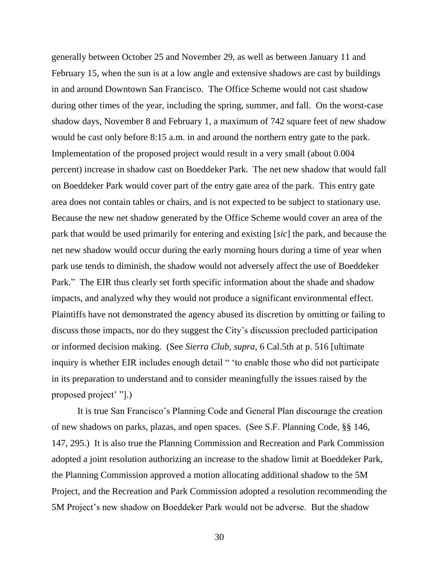generally between October 25 and November 29, as well as between January 11 and February 15, when the sun is at a low angle and extensive shadows are cast by buildings in and around Downtown San Francisco. The Office Scheme would not cast shadow during other times of the year, including the spring, summer, and fall. On the worst-case shadow days, November 8 and February 1, a maximum of 742 square feet of new shadow would be cast only before 8:15 a.m. in and around the northern entry gate to the park. Implementation of the proposed project would result in a very small (about 0.004 percent) increase in shadow cast on Boeddeker Park. The net new shadow that would fall on Boeddeker Park would cover part of the entry gate area of the park. This entry gate area does not contain tables or chairs, and is not expected to be subject to stationary use. Because the new net shadow generated by the Office Scheme would cover an area of the park that would be used primarily for entering and existing [*sic*] the park, and because the net new shadow would occur during the early morning hours during a time of year when park use tends to diminish, the shadow would not adversely affect the use of Boeddeker Park." The EIR thus clearly set forth specific information about the shade and shadow impacts, and analyzed why they would not produce a significant environmental effect. Plaintiffs have not demonstrated the agency abused its discretion by omitting or failing to discuss those impacts, nor do they suggest the City's discussion precluded participation or informed decision making. (See *Sierra Club, supra,* 6 Cal.5th at p. 516 [ultimate inquiry is whether EIR includes enough detail " 'to enable those who did not participate in its preparation to understand and to consider meaningfully the issues raised by the proposed project' "].)

It is true San Francisco's Planning Code and General Plan discourage the creation of new shadows on parks, plazas, and open spaces. (See S.F. Planning Code, §§ 146, 147, 295.) It is also true the Planning Commission and Recreation and Park Commission adopted a joint resolution authorizing an increase to the shadow limit at Boeddeker Park, the Planning Commission approved a motion allocating additional shadow to the 5M Project, and the Recreation and Park Commission adopted a resolution recommending the 5M Project's new shadow on Boeddeker Park would not be adverse. But the shadow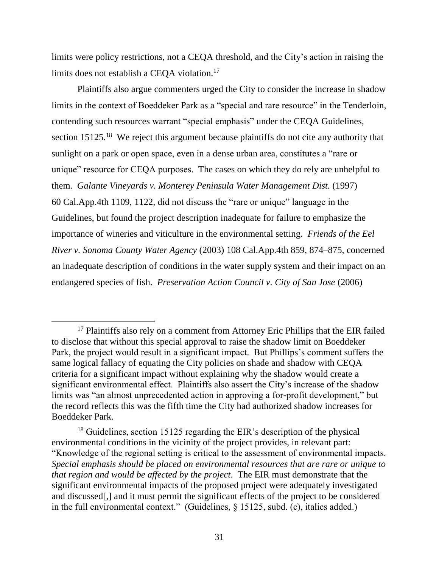limits were policy restrictions, not a CEQA threshold, and the City's action in raising the limits does not establish a CEQA violation.<sup>17</sup>

Plaintiffs also argue commenters urged the City to consider the increase in shadow limits in the context of Boeddeker Park as a "special and rare resource" in the Tenderloin, contending such resources warrant "special emphasis" under the CEQA Guidelines, section 15125.<sup>18</sup> We reject this argument because plaintiffs do not cite any authority that sunlight on a park or open space, even in a dense urban area, constitutes a "rare or unique" resource for CEQA purposes. The cases on which they do rely are unhelpful to them. *Galante Vineyards v. Monterey Peninsula Water Management Dist.* (1997) 60 Cal.App.4th 1109, 1122, did not discuss the "rare or unique" language in the Guidelines, but found the project description inadequate for failure to emphasize the importance of wineries and viticulture in the environmental setting. *Friends of the Eel River v. Sonoma County Water Agency* (2003) 108 Cal.App.4th 859, 874–875, concerned an inadequate description of conditions in the water supply system and their impact on an endangered species of fish. *Preservation Action Council v. City of San Jose* (2006)

 $\overline{a}$ 

<sup>&</sup>lt;sup>17</sup> Plaintiffs also rely on a comment from Attorney Eric Phillips that the EIR failed to disclose that without this special approval to raise the shadow limit on Boeddeker Park, the project would result in a significant impact. But Phillips's comment suffers the same logical fallacy of equating the City policies on shade and shadow with CEQA criteria for a significant impact without explaining why the shadow would create a significant environmental effect. Plaintiffs also assert the City's increase of the shadow limits was "an almost unprecedented action in approving a for-profit development," but the record reflects this was the fifth time the City had authorized shadow increases for Boeddeker Park.

 $18$  Guidelines, section 15125 regarding the EIR's description of the physical environmental conditions in the vicinity of the project provides, in relevant part: "Knowledge of the regional setting is critical to the assessment of environmental impacts. *Special emphasis should be placed on environmental resources that are rare or unique to that region and would be affected by the project*. The EIR must demonstrate that the significant environmental impacts of the proposed project were adequately investigated and discussed[,] and it must permit the significant effects of the project to be considered in the full environmental context." (Guidelines, § 15125, subd. (c), italics added.)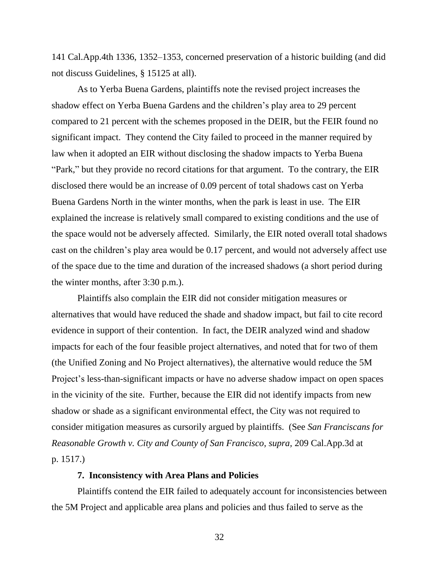141 Cal.App.4th 1336, 1352–1353, concerned preservation of a historic building (and did not discuss Guidelines, § 15125 at all).

As to Yerba Buena Gardens, plaintiffs note the revised project increases the shadow effect on Yerba Buena Gardens and the children's play area to 29 percent compared to 21 percent with the schemes proposed in the DEIR, but the FEIR found no significant impact. They contend the City failed to proceed in the manner required by law when it adopted an EIR without disclosing the shadow impacts to Yerba Buena "Park," but they provide no record citations for that argument. To the contrary, the EIR disclosed there would be an increase of 0.09 percent of total shadows cast on Yerba Buena Gardens North in the winter months, when the park is least in use. The EIR explained the increase is relatively small compared to existing conditions and the use of the space would not be adversely affected. Similarly, the EIR noted overall total shadows cast on the children's play area would be 0.17 percent, and would not adversely affect use of the space due to the time and duration of the increased shadows (a short period during the winter months, after 3:30 p.m.).

Plaintiffs also complain the EIR did not consider mitigation measures or alternatives that would have reduced the shade and shadow impact, but fail to cite record evidence in support of their contention. In fact, the DEIR analyzed wind and shadow impacts for each of the four feasible project alternatives, and noted that for two of them (the Unified Zoning and No Project alternatives), the alternative would reduce the 5M Project's less-than-significant impacts or have no adverse shadow impact on open spaces in the vicinity of the site. Further, because the EIR did not identify impacts from new shadow or shade as a significant environmental effect, the City was not required to consider mitigation measures as cursorily argued by plaintiffs. (See *San Franciscans for Reasonable Growth v. City and County of San Francisco, supra,* 209 Cal.App.3d at p. 1517.)

#### **7. Inconsistency with Area Plans and Policies**

Plaintiffs contend the EIR failed to adequately account for inconsistencies between the 5M Project and applicable area plans and policies and thus failed to serve as the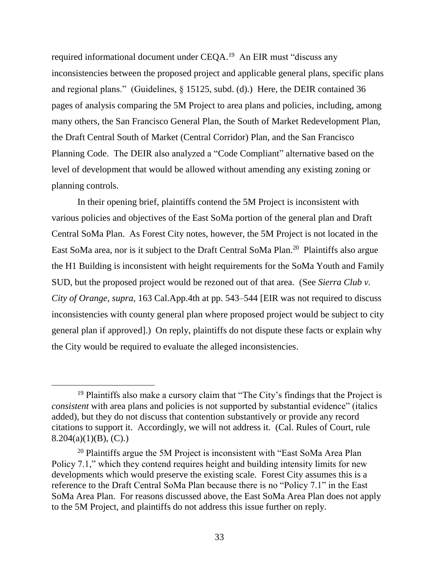required informational document under CEQA.<sup>19</sup> An EIR must "discuss any inconsistencies between the proposed project and applicable general plans, specific plans and regional plans." (Guidelines, § 15125, subd. (d).) Here, the DEIR contained 36 pages of analysis comparing the 5M Project to area plans and policies, including, among many others, the San Francisco General Plan, the South of Market Redevelopment Plan, the Draft Central South of Market (Central Corridor) Plan, and the San Francisco Planning Code. The DEIR also analyzed a "Code Compliant" alternative based on the level of development that would be allowed without amending any existing zoning or planning controls.

In their opening brief, plaintiffs contend the 5M Project is inconsistent with various policies and objectives of the East SoMa portion of the general plan and Draft Central SoMa Plan. As Forest City notes, however, the 5M Project is not located in the East SoMa area, nor is it subject to the Draft Central SoMa Plan.<sup>20</sup> Plaintiffs also argue the H1 Building is inconsistent with height requirements for the SoMa Youth and Family SUD, but the proposed project would be rezoned out of that area. (See *Sierra Club v. City of Orange*, *supra*, 163 Cal.App.4th at pp. 543–544 [EIR was not required to discuss inconsistencies with county general plan where proposed project would be subject to city general plan if approved].) On reply, plaintiffs do not dispute these facts or explain why the City would be required to evaluate the alleged inconsistencies.

 $\overline{a}$ 

 $19$  Plaintiffs also make a cursory claim that "The City's findings that the Project is *consistent* with area plans and policies is not supported by substantial evidence" (italics added), but they do not discuss that contention substantively or provide any record citations to support it. Accordingly, we will not address it. (Cal. Rules of Court, rule  $8.204(a)(1)(B)$ , (C).)

 $20$  Plaintiffs argue the 5M Project is inconsistent with "East SoMa Area Plan" Policy 7.1," which they contend requires height and building intensity limits for new developments which would preserve the existing scale. Forest City assumes this is a reference to the Draft Central SoMa Plan because there is no "Policy 7.1" in the East SoMa Area Plan. For reasons discussed above, the East SoMa Area Plan does not apply to the 5M Project, and plaintiffs do not address this issue further on reply.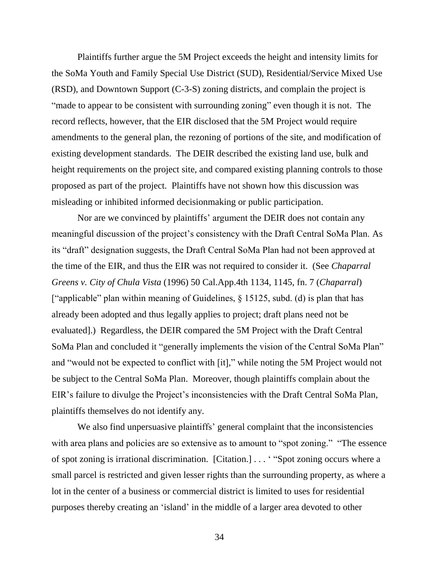Plaintiffs further argue the 5M Project exceeds the height and intensity limits for the SoMa Youth and Family Special Use District (SUD), Residential/Service Mixed Use (RSD), and Downtown Support (C-3-S) zoning districts, and complain the project is "made to appear to be consistent with surrounding zoning" even though it is not. The record reflects, however, that the EIR disclosed that the 5M Project would require amendments to the general plan, the rezoning of portions of the site, and modification of existing development standards. The DEIR described the existing land use, bulk and height requirements on the project site, and compared existing planning controls to those proposed as part of the project. Plaintiffs have not shown how this discussion was misleading or inhibited informed decisionmaking or public participation.

Nor are we convinced by plaintiffs' argument the DEIR does not contain any meaningful discussion of the project's consistency with the Draft Central SoMa Plan. As its "draft" designation suggests, the Draft Central SoMa Plan had not been approved at the time of the EIR, and thus the EIR was not required to consider it. (See *Chaparral Greens v. City of Chula Vista* (1996) 50 Cal.App.4th 1134, 1145, fn. 7 (*Chaparral*) ["applicable" plan within meaning of Guidelines, § 15125, subd. (d) is plan that has already been adopted and thus legally applies to project; draft plans need not be evaluated].) Regardless, the DEIR compared the 5M Project with the Draft Central SoMa Plan and concluded it "generally implements the vision of the Central SoMa Plan" and "would not be expected to conflict with [it]," while noting the 5M Project would not be subject to the Central SoMa Plan. Moreover, though plaintiffs complain about the EIR's failure to divulge the Project's inconsistencies with the Draft Central SoMa Plan, plaintiffs themselves do not identify any.

We also find unpersuasive plaintiffs' general complaint that the inconsistencies with area plans and policies are so extensive as to amount to "spot zoning." "The essence of spot zoning is irrational discrimination. [Citation.] . . . ' "Spot zoning occurs where a small parcel is restricted and given lesser rights than the surrounding property, as where a lot in the center of a business or commercial district is limited to uses for residential purposes thereby creating an 'island' in the middle of a larger area devoted to other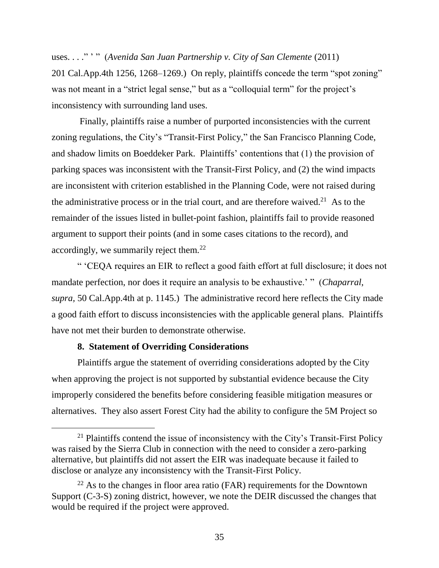uses. . . ." ' " (*Avenida San Juan Partnership v. City of San Clemente* (2011) 201 Cal.App.4th 1256, 1268–1269.) On reply, plaintiffs concede the term "spot zoning" was not meant in a "strict legal sense," but as a "colloquial term" for the project's inconsistency with surrounding land uses.

Finally, plaintiffs raise a number of purported inconsistencies with the current zoning regulations, the City's "Transit-First Policy," the San Francisco Planning Code, and shadow limits on Boeddeker Park. Plaintiffs' contentions that (1) the provision of parking spaces was inconsistent with the Transit-First Policy, and (2) the wind impacts are inconsistent with criterion established in the Planning Code, were not raised during the administrative process or in the trial court, and are therefore waived.<sup>21</sup> As to the remainder of the issues listed in bullet-point fashion, plaintiffs fail to provide reasoned argument to support their points (and in some cases citations to the record), and accordingly, we summarily reject them.<sup>22</sup>

" 'CEQA requires an EIR to reflect a good faith effort at full disclosure; it does not mandate perfection, nor does it require an analysis to be exhaustive.' " (*Chaparral*, *supra,* 50 Cal.App.4th at p. 1145.) The administrative record here reflects the City made a good faith effort to discuss inconsistencies with the applicable general plans. Plaintiffs have not met their burden to demonstrate otherwise.

## **8. Statement of Overriding Considerations**

Plaintiffs argue the statement of overriding considerations adopted by the City when approving the project is not supported by substantial evidence because the City improperly considered the benefits before considering feasible mitigation measures or alternatives. They also assert Forest City had the ability to configure the 5M Project so

 $21$  Plaintiffs contend the issue of inconsistency with the City's Transit-First Policy was raised by the Sierra Club in connection with the need to consider a zero-parking alternative, but plaintiffs did not assert the EIR was inadequate because it failed to disclose or analyze any inconsistency with the Transit-First Policy.

 $22$  As to the changes in floor area ratio (FAR) requirements for the Downtown Support (C-3-S) zoning district, however, we note the DEIR discussed the changes that would be required if the project were approved.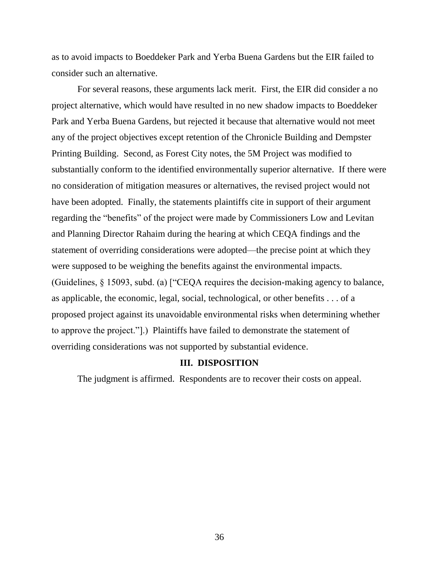as to avoid impacts to Boeddeker Park and Yerba Buena Gardens but the EIR failed to consider such an alternative.

For several reasons, these arguments lack merit. First, the EIR did consider a no project alternative, which would have resulted in no new shadow impacts to Boeddeker Park and Yerba Buena Gardens, but rejected it because that alternative would not meet any of the project objectives except retention of the Chronicle Building and Dempster Printing Building. Second, as Forest City notes, the 5M Project was modified to substantially conform to the identified environmentally superior alternative. If there were no consideration of mitigation measures or alternatives, the revised project would not have been adopted. Finally, the statements plaintiffs cite in support of their argument regarding the "benefits" of the project were made by Commissioners Low and Levitan and Planning Director Rahaim during the hearing at which CEQA findings and the statement of overriding considerations were adopted—the precise point at which they were supposed to be weighing the benefits against the environmental impacts. (Guidelines, § 15093, subd. (a) ["CEQA requires the decision-making agency to balance, as applicable, the economic, legal, social, technological, or other benefits . . . of a proposed project against its unavoidable environmental risks when determining whether to approve the project."].) Plaintiffs have failed to demonstrate the statement of overriding considerations was not supported by substantial evidence.

#### **III. DISPOSITION**

The judgment is affirmed. Respondents are to recover their costs on appeal.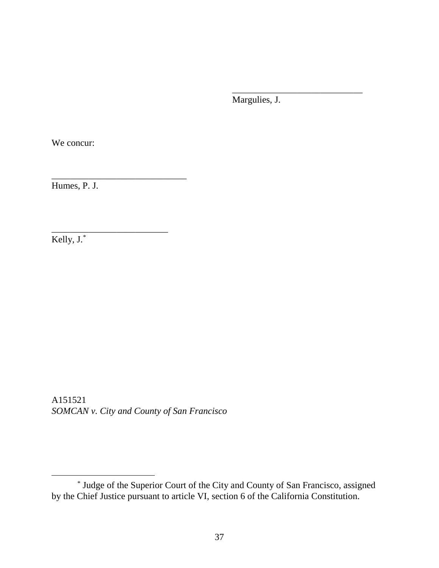Margulies, J.

\_\_\_\_\_\_\_\_\_\_\_\_\_\_\_\_\_\_\_\_\_\_\_\_\_\_\_\_

We concur:

Humes, P. J.

\_\_\_\_\_\_\_\_\_\_\_\_\_\_\_\_\_\_\_\_\_\_\_\_\_\_\_\_\_

\_\_\_\_\_\_\_\_\_\_\_\_\_\_\_\_\_\_\_\_\_\_\_\_\_

Kelly, J.\*

A151521 *SOMCAN v. City and County of San Francisco*

<sup>\*</sup> Judge of the Superior Court of the City and County of San Francisco, assigned by the Chief Justice pursuant to article VI, section 6 of the California Constitution.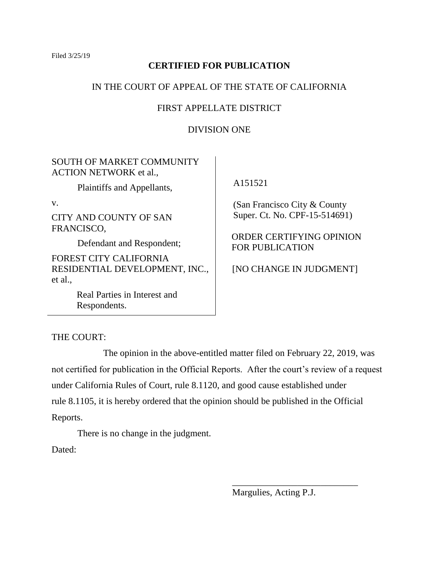Filed 3/25/19

# **CERTIFIED FOR PUBLICATION**

# IN THE COURT OF APPEAL OF THE STATE OF CALIFORNIA

# FIRST APPELLATE DISTRICT

# DIVISION ONE

SOUTH OF MARKET COMMUNITY ACTION NETWORK et al.,

Plaintiffs and Appellants,

v.

CITY AND COUNTY OF SAN FRANCISCO,

Defendant and Respondent;

FOREST CITY CALIFORNIA RESIDENTIAL DEVELOPMENT, INC., et al.,

> Real Parties in Interest and Respondents.

A151521

 (San Francisco City & County Super. Ct. No. CPF-15-514691)

ORDER CERTIFYING OPINION FOR PUBLICATION

[NO CHANGE IN JUDGMENT]

THE COURT:

The opinion in the above-entitled matter filed on February 22, 2019, was not certified for publication in the Official Reports. After the court's review of a request under California Rules of Court, rule 8.1120, and good cause established under rule 8.1105, it is hereby ordered that the opinion should be published in the Official Reports.

There is no change in the judgment.

Dated:

Margulies, Acting P.J.

\_\_\_\_\_\_\_\_\_\_\_\_\_\_\_\_\_\_\_\_\_\_\_\_\_\_\_